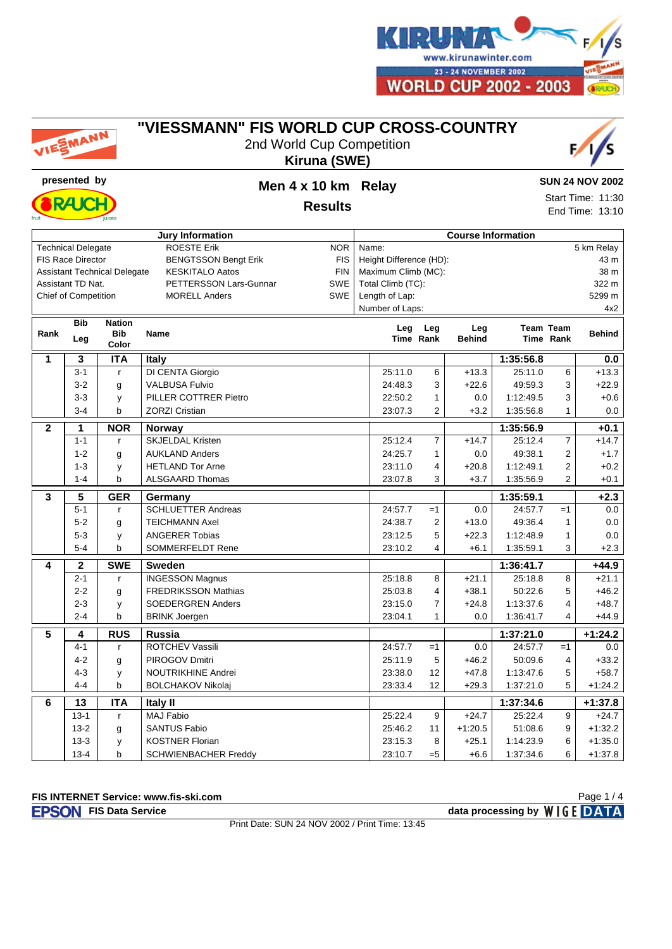

|              | VIESMANN                    |                                     | <u>VIESSMANN" FIS WORLD CUP CROSS-COUNTRY</u><br>2nd World Cup Competition | Kiruna (SWE) |                                 |                |                           |           |                  |                        |  |  |
|--------------|-----------------------------|-------------------------------------|----------------------------------------------------------------------------|--------------|---------------------------------|----------------|---------------------------|-----------|------------------|------------------------|--|--|
|              | presented by                |                                     | Men 4 x 10 km Relay                                                        |              |                                 |                |                           |           |                  | <b>SUN 24 NOV 2002</b> |  |  |
|              | <b>RAJ</b>                  |                                     |                                                                            |              |                                 |                | Start Time: 11:30         |           |                  |                        |  |  |
|              |                             |                                     | <b>Results</b>                                                             |              |                                 |                |                           |           | End Time: 13:10  |                        |  |  |
|              |                             |                                     | <b>Jury Information</b>                                                    |              |                                 |                | <b>Course Information</b> |           |                  |                        |  |  |
|              | <b>Technical Delegate</b>   |                                     | <b>ROESTE Erik</b>                                                         | <b>NOR</b>   | Name:                           |                |                           |           |                  | 5 km Relay             |  |  |
|              | <b>FIS Race Director</b>    |                                     | <b>BENGTSSON Bengt Erik</b>                                                | <b>FIS</b>   | Height Difference (HD):<br>43 m |                |                           |           |                  |                        |  |  |
|              |                             | <b>Assistant Technical Delegate</b> | <b>KESKITALO Aatos</b>                                                     | <b>FIN</b>   | Maximum Climb (MC):             |                |                           |           |                  | 38 m                   |  |  |
|              | Assistant TD Nat.           |                                     | <b>PETTERSSON Lars-Gunnar</b>                                              | SWE          | Total Climb (TC):               |                |                           |           |                  | 322 m                  |  |  |
|              | <b>Chief of Competition</b> |                                     | <b>MORELL Anders</b>                                                       | SWE          | Length of Lap:                  |                |                           |           |                  | 5299 m                 |  |  |
|              |                             |                                     |                                                                            |              | Number of Laps:                 |                |                           |           |                  | 4x2                    |  |  |
| Rank         | <b>Bib</b>                  | <b>Nation</b><br><b>Bib</b>         |                                                                            | Leg          | Leg                             | Leg            | <b>Team Team</b>          |           | <b>Behind</b>    |                        |  |  |
|              | Leg                         | Color                               | <b>Name</b>                                                                |              | Time Rank                       |                | <b>Behind</b>             |           | <b>Time Rank</b> |                        |  |  |
| 1            | 3                           | <b>ITA</b>                          | Italy                                                                      |              |                                 |                |                           | 1:35:56.8 |                  | 0.0                    |  |  |
|              | $3 - 1$                     | $\mathsf{r}$                        | DI CENTA Giorgio                                                           |              | 25:11.0                         | 6              | $+13.3$                   | 25:11.0   | 6                | $+13.3$                |  |  |
|              | $3 - 2$                     | g                                   | <b>VALBUSA Fulvio</b>                                                      |              | 24:48.3                         | 3              | $+22.6$                   | 49:59.3   | 3                | $+22.9$                |  |  |
|              | $3 - 3$                     | y                                   | PILLER COTTRER Pietro                                                      |              | 22:50.2                         | 1              | 0.0                       | 1:12:49.5 | 3                | $+0.6$                 |  |  |
|              | $3 - 4$                     | b                                   | <b>ZORZI Cristian</b>                                                      |              | 23:07.3                         | $\overline{2}$ | $+3.2$                    | 1:35:56.8 | 1                | 0.0                    |  |  |
| $\mathbf{2}$ | 1                           | <b>NOR</b>                          | <b>Norway</b>                                                              |              |                                 |                |                           | 1:35:56.9 |                  | $+0.1$                 |  |  |
|              | $1 - 1$                     | $\mathsf{r}$                        | <b>SKJELDAL Kristen</b>                                                    |              | 25:12.4                         | $\overline{7}$ | $+14.7$                   | 25:12.4   | $\overline{7}$   | $+14.7$                |  |  |
|              | $1 - 2$                     | g                                   | <b>AUKLAND Anders</b>                                                      |              | 24:25.7                         | 1              | 0.0                       | 49:38.1   | $\overline{2}$   | $+1.7$                 |  |  |
|              | $1 - 3$                     | y                                   | <b>HETLAND Tor Arne</b>                                                    |              | 23:11.0                         | 4              | $+20.8$                   | 1:12:49.1 | $\overline{2}$   | $+0.2$                 |  |  |
|              | $1 - 4$                     | b                                   | <b>ALSGAARD Thomas</b>                                                     |              | 23:07.8                         | 3<br>$+3.7$    |                           |           |                  | $+0.1$                 |  |  |
| 3            | 5                           | <b>GER</b>                          | Germany                                                                    |              |                                 |                |                           | 1:35:59.1 |                  | $+2.3$                 |  |  |
|              | $5 - 1$                     | $\mathsf{r}$                        | <b>SCHLUETTER Andreas</b>                                                  |              | 24:57.7                         | $=1$           | 0.0                       | 24:57.7   | $=1$             | 0.0                    |  |  |
|              | $5-2$                       | g                                   | <b>TEICHMANN Axel</b>                                                      |              | 24:38.7                         | $\overline{2}$ | $+13.0$                   | 49:36.4   | $\mathbf{1}$     | 0.0                    |  |  |
|              | $5-3$                       | y                                   | <b>ANGERER Tobias</b>                                                      |              | 23:12.5                         | 5              | $+22.3$                   | 1:12:48.9 | $\mathbf{1}$     | 0.0                    |  |  |
|              | $5 - 4$                     | b                                   | <b>SOMMERFELDT Rene</b>                                                    |              | 23:10.2                         | 4              | $+6.1$                    | 1:35:59.1 | 3                | $+2.3$                 |  |  |
| 4            | $\overline{2}$              | <b>SWE</b>                          | <b>Sweden</b>                                                              |              |                                 |                |                           | 1:36:41.7 |                  | $+44.9$                |  |  |
|              | $2 - 1$                     | $\mathsf{r}$                        | <b>INGESSON Magnus</b>                                                     |              | 25:18.8                         | 8              | $+21.1$                   | 25:18.8   | 8                | $+21.1$                |  |  |
|              | $2 - 2$                     | g                                   | <b>FREDRIKSSON Mathias</b>                                                 |              | 25:03.8                         | 4              | $+38.1$                   | 50:22.6   | 5                | $+46.2$                |  |  |
|              | $2 - 3$                     | y                                   | <b>SOEDERGREN Anders</b>                                                   |              | 23:15.0                         | 7              | $+24.8$                   | 1:13:37.6 | 4                | $+48.7$                |  |  |
|              | $2 - 4$                     | b                                   | <b>BRINK Joergen</b>                                                       |              | 23:04.1                         | 1              | 0.0                       | 1:36:41.7 | 4                | $+44.9$                |  |  |
| 5            | 4                           | <b>RUS</b>                          | Russia                                                                     |              |                                 |                |                           | 1:37:21.0 |                  | +1:24.2                |  |  |
|              | $4 - 1$                     | r                                   | ROTCHEV Vassili                                                            |              | 24:57.7                         | $=1$           | 0.0                       | 24:57.7   | $=1$             | $0.0\,$                |  |  |
|              | $4 - 2$                     | g                                   | PIROGOV Dmitri                                                             |              | 25:11.9                         | 5              | $+46.2$                   | 50:09.6   | 4                | $+33.2$                |  |  |
|              | $4 - 3$                     | у                                   | <b>NOUTRIKHINE Andrei</b>                                                  |              | 23:38.0                         | 12             | $+47.8$                   | 1:13:47.6 | 5                | $+58.7$                |  |  |
|              | $4 - 4$                     | b                                   | <b>BOLCHAKOV Nikolaj</b>                                                   |              | 23:33.4                         | 12             | $+29.3$                   | 1:37:21.0 | 5                | $+1:24.2$              |  |  |
| 6            | 13                          | <b>ITA</b>                          | <b>Italy II</b>                                                            |              |                                 |                |                           | 1:37:34.6 |                  | +1:37.8                |  |  |
|              | $13 - 1$                    | $\mathbf{r}$                        | MAJ Fabio                                                                  |              | 25:22.4                         | 9              | $+24.7$                   | 25:22.4   | 9                | $+24.7$                |  |  |
|              | $13 - 2$                    | g                                   | <b>SANTUS Fabio</b>                                                        |              | 25:46.2                         | 11             | $+1:20.5$                 | 51:08.6   | 9                | $+1:32.2$              |  |  |
|              | $13-3$                      | у                                   | <b>KOSTNER Florian</b>                                                     |              | 23:15.3                         | 8              | $+25.1$                   | 1:14:23.9 | 6                | $+1:35.0$              |  |  |
|              | $13 - 4$                    | b                                   | <b>SCHWIENBACHER Freddy</b>                                                |              | 23:10.7                         | $= 5$          | $+6.6$                    | 1:37:34.6 | 6                | $+1:37.8$              |  |  |

## **"VIESSMANN" FIS WORLD CUP CROSS-COUNTRY**

**FIS INTERNET Service: www.fis-ski.com**

**FIS Data Service data processing by**  $W \mid G E$  **DATA** 

Print Date: SUN 24 NOV 2002 / Print Time: 13:45

Page 1 / 4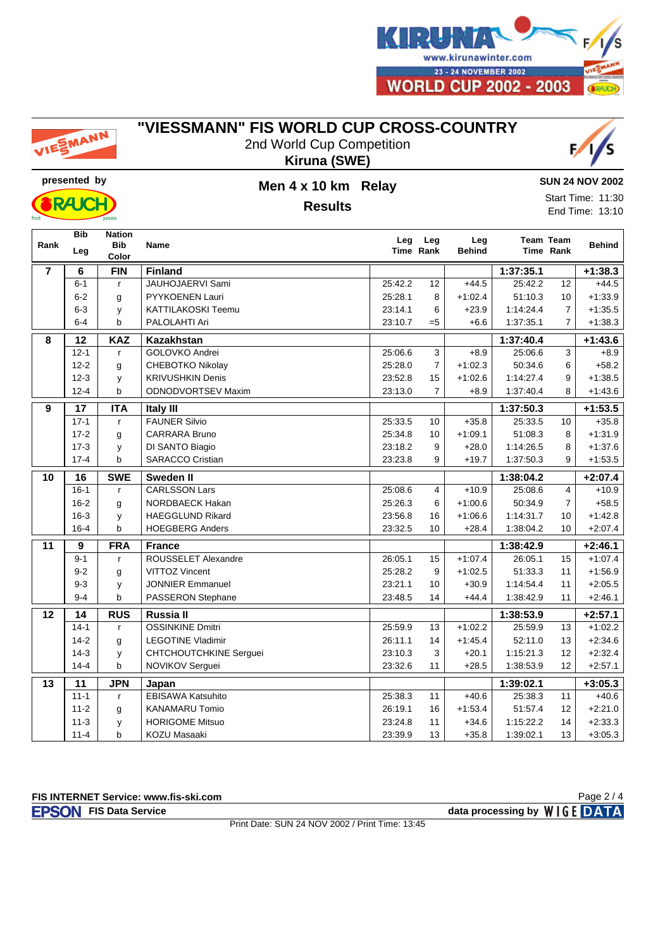

# EMANN

### **"VIESSMANN" FIS WORLD CUP CROSS-COUNTRY**

2nd World Cup Competition **Kiruna (SWE)**





### **presented by Men 4 x 10 km Relay Results**

**SUN 24 NOV 2002**

Start Time: 11:30 End Time: 13:10

|                 | <b>Bib</b>      | <b>Nation</b> |                           |         |                  |                      |           |                               |               |
|-----------------|-----------------|---------------|---------------------------|---------|------------------|----------------------|-----------|-------------------------------|---------------|
| Rank            | Leg             | <b>Bib</b>    | <b>Name</b>               | Leg     | Leg<br>Time Rank | Leg<br><b>Behind</b> |           | <b>Team Team</b><br>Time Rank | <b>Behind</b> |
|                 |                 | Color         |                           |         |                  |                      |           |                               |               |
| $\overline{7}$  | 6               | <b>FIN</b>    | <b>Finland</b>            |         |                  | 1:37:35.1            |           |                               | $+1:38.3$     |
|                 | $6 - 1$         | r             | JAUHOJAERVI Sami          | 25:42.2 | 12               | $+44.5$              | 25:42.2   | 12                            | $+44.5$       |
|                 | $6 - 2$         | g             | PYYKOENEN Lauri           | 25:28.1 | 8                | $+1:02.4$            | 51:10.3   | 10                            | $+1:33.9$     |
|                 | $6 - 3$         | y             | <b>KATTILAKOSKI Teemu</b> | 23:14.1 | 6                | $+23.9$              | 1:14:24.4 | $\overline{7}$                | $+1:35.5$     |
|                 | $6 - 4$         | b             | PALOLAHTI Ari             | 23:10.7 | $= 5$            | $+6.6$               | 1:37:35.1 | $\overline{7}$                | $+1:38.3$     |
| 8               | $\overline{12}$ | <b>KAZ</b>    | <b>Kazakhstan</b>         |         |                  |                      | 1:37:40.4 |                               | $+1:43.6$     |
|                 | $12 - 1$        | $\mathsf{r}$  | GOLOVKO Andrei            | 25:06.6 | 3                | $+8.9$               | 25:06.6   | 3                             | $+8.9$        |
|                 | $12 - 2$        | g             | <b>CHEBOTKO Nikolay</b>   | 25:28.0 | $\overline{7}$   | $+1:02.3$            | 50:34.6   | 6                             | $+58.2$       |
|                 | $12 - 3$        | y             | <b>KRIVUSHKIN Denis</b>   | 23:52.8 | 15               | $+1:02.6$            | 1:14:27.4 | 9                             | $+1:38.5$     |
|                 | $12 - 4$        | $\mathbf b$   | <b>ODNODVORTSEV Maxim</b> | 23:13.0 | $\overline{7}$   | $+8.9$               | 1:37:40.4 | 8                             | $+1:43.6$     |
| 9               | 17              | <b>ITA</b>    | Italy III                 |         |                  |                      | 1:37:50.3 |                               | $+1:53.5$     |
|                 | $17 - 1$        | $\mathsf{r}$  | <b>FAUNER Silvio</b>      | 25:33.5 | 10               | $+35.8$              | 25:33.5   | 10                            | $+35.8$       |
|                 | $17 - 2$        | g             | CARRARA Bruno             | 25:34.8 | 10               | $+1:09.1$            | 51:08.3   | 8                             | $+1:31.9$     |
|                 | $17-3$          | y             | DI SANTO Biagio           | 23:18.2 | 9                | $+28.0$              | 1:14:26.5 | 8                             | $+1:37.6$     |
|                 | $17 - 4$        | b             | <b>SARACCO Cristian</b>   | 23:23.8 | 9                | $+19.7$              | 1:37:50.3 | 9                             | $+1:53.5$     |
| $\overline{10}$ | $\overline{16}$ | <b>SWE</b>    | <b>Sweden II</b>          |         |                  |                      | 1:38:04.2 |                               | $+2:07.4$     |
|                 | $16 - 1$        | $\mathsf{r}$  | <b>CARLSSON Lars</b>      | 25:08.6 | $\overline{4}$   | $+10.9$              | 25:08.6   | 4                             | $+10.9$       |
|                 | $16 - 2$        | g             | NORDBAECK Hakan           | 25:26.3 | 6                | $+1:00.6$            | 50:34.9   | $\overline{7}$                | $+58.5$       |
|                 | $16 - 3$        | y             | <b>HAEGGLUND Rikard</b>   | 23:56.8 | 16               | $+1:06.6$            | 1:14:31.7 | 10                            | $+1:42.8$     |
|                 | $16 - 4$        | b             | <b>HOEGBERG Anders</b>    | 23:32.5 | 10               | $+28.4$              | 1:38:04.2 | 10                            | $+2:07.4$     |
| $\overline{11}$ | $\overline{9}$  | <b>FRA</b>    | <b>France</b>             |         |                  |                      | 1:38:42.9 |                               | $+2:46.1$     |
|                 | $9 - 1$         | $\mathsf{r}$  | ROUSSELET Alexandre       | 26:05.1 | 15               | $+1:07.4$            | 26:05.1   | 15                            | $+1:07.4$     |
|                 | $9 - 2$         | g             | <b>VITTOZ Vincent</b>     | 25:28.2 | 9                | $+1:02.5$            | 51:33.3   | 11                            | $+1:56.9$     |
|                 | $9 - 3$         | у             | <b>JONNIER Emmanuel</b>   | 23:21.1 | 10               | $+30.9$              | 1:14:54.4 | 11                            | $+2:05.5$     |
|                 | $9 - 4$         | b             | PASSERON Stephane         | 23:48.5 | 14               | $+44.4$              | 1:38:42.9 | 11                            | $+2.46.1$     |
| 12              | 14              | <b>RUS</b>    | Russia II                 |         |                  |                      | 1:38:53.9 |                               | $+2:57.1$     |
|                 | $14-1$          | $\mathsf{r}$  | <b>OSSINKINE Dmitri</b>   | 25:59.9 | 13               | $+1:02.2$            | 25:59.9   | 13                            | $+1:02.2$     |
|                 | $14-2$          | g             | <b>LEGOTINE Vladimir</b>  | 26:11.1 | 14               | $+1:45.4$            | 52:11.0   | 13                            | $+2:34.6$     |
|                 | $14-3$          | y             | CHTCHOUTCHKINE Serguei    | 23:10.3 | 3                | $+20.1$              | 1:15:21.3 | 12                            | $+2:32.4$     |
|                 | $14 - 4$        | b             | NOVIKOV Serguei           | 23:32.6 | 11               | $+28.5$              | 1:38:53.9 | 12                            | $+2:57.1$     |
| 13              | $\overline{11}$ | <b>JPN</b>    | Japan                     |         |                  |                      | 1:39:02.1 |                               | $+3:05.3$     |
|                 | $11 - 1$        | $\mathsf{r}$  | <b>EBISAWA Katsuhito</b>  | 25:38.3 | 11               | $+40.6$              | 25:38.3   | 11                            | $+40.6$       |
|                 | $11 - 2$        | g             | <b>KANAMARU Tomio</b>     | 26:19.1 | 16               | $+1:53.4$            | 51:57.4   | 12                            | $+2:21.0$     |
|                 | $11 - 3$        | у             | <b>HORIGOME Mitsuo</b>    | 23:24.8 | 11               | $+34.6$              | 1:15:22.2 | 14                            | $+2:33.3$     |
|                 | $11 - 4$        | $\mathbf b$   | <b>KOZU Masaaki</b>       | 23:39.9 | 13               | $+35.8$              | 1:39:02.1 | 13                            | $+3:05.3$     |

**FIS INTERNET Service: www.fis-ski.com**

**FIS Data Service data processing by**  $W \mid G E$  **DATA** 

Print Date: SUN 24 NOV 2002 / Print Time: 13:45

Page 2 / 4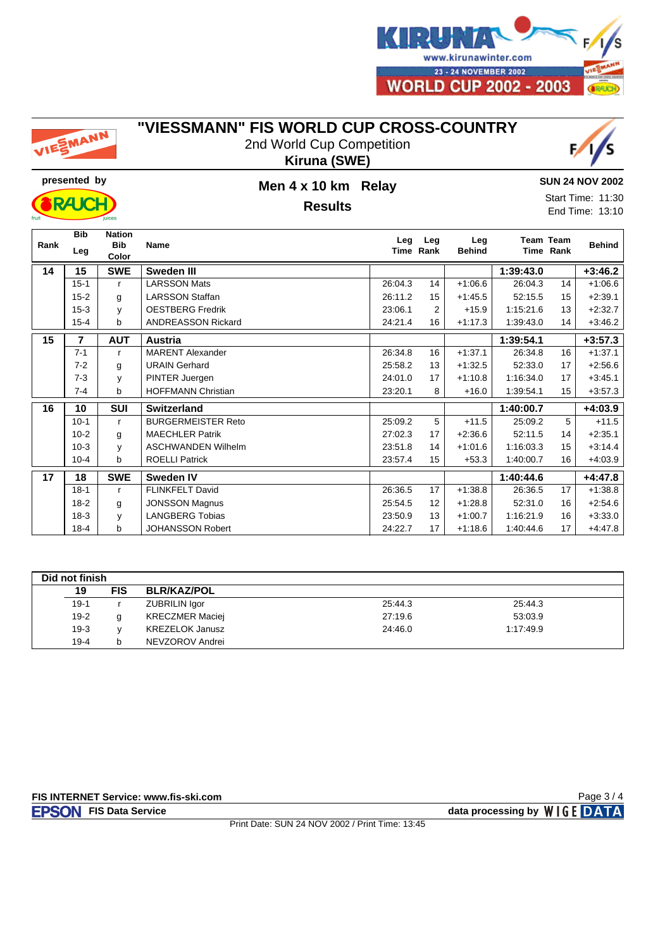

# EMANN

#### **"VIESSMANN" FIS WORLD CUP CROSS-COUNTRY**

2nd World Cup Competition **Kiruna (SWE)**





### **presented by Men 4 x 10 km Relay Results**

#### **SUN 24 NOV 2002**

Start Time: 11:30 End Time: 13:10

| Rank | <b>Bib</b><br>Leg | <b>Nation</b><br>Bib<br>Color | Name                      | Leg     | Leg<br>Time Rank | Leg<br><b>Behind</b> |           | Team Team<br>Time Rank | <b>Behind</b> |
|------|-------------------|-------------------------------|---------------------------|---------|------------------|----------------------|-----------|------------------------|---------------|
| 14   | 15                | <b>SWE</b>                    | Sweden III                |         |                  |                      | 1:39:43.0 |                        | $+3:46.2$     |
|      | $15 - 1$          | r                             | <b>LARSSON Mats</b>       | 26:04.3 | 14               | $+1:06.6$            | 26:04.3   | 14                     | $+1:06.6$     |
|      | $15 - 2$          | g                             | <b>LARSSON Staffan</b>    | 26:11.2 | 15               | $+1:45.5$            | 52:15.5   | 15                     | $+2:39.1$     |
|      | $15 - 3$          | y                             | <b>OESTBERG Fredrik</b>   | 23:06.1 | 2                | $+15.9$              | 1:15:21.6 | 13                     | $+2:32.7$     |
|      | $15 - 4$          | b                             | <b>ANDREASSON Rickard</b> | 24:21.4 | 16               | $+1:17.3$            | 1:39:43.0 | 14                     | $+3:46.2$     |
| 15   | $\overline{7}$    | <b>AUT</b>                    | Austria                   |         |                  |                      | 1:39:54.1 |                        | $+3:57.3$     |
|      | $7 - 1$           | r                             | <b>MARENT Alexander</b>   | 26:34.8 | 16               | $+1:37.1$            | 26:34.8   | 16                     | $+1:37.1$     |
|      | $7-2$             | g                             | <b>URAIN Gerhard</b>      | 25:58.2 | 13               | $+1:32.5$            | 52:33.0   | 17                     | $+2:56.6$     |
|      | $7 - 3$           | y                             | PINTER Juergen            | 24:01.0 | 17               | $+1:10.8$            | 1:16:34.0 | 17                     | $+3:45.1$     |
|      | $7 - 4$           | b                             | <b>HOFFMANN Christian</b> | 23:20.1 | 8                | $+16.0$              | 1:39:54.1 | 15                     | $+3:57.3$     |
| 16   | 10                | <b>SUI</b>                    | <b>Switzerland</b>        |         |                  |                      | 1:40:00.7 |                        | $+4:03.9$     |
|      | $10-1$            | $\mathsf{r}$                  | <b>BURGERMEISTER Reto</b> | 25:09.2 | 5                | $+11.5$              | 25:09.2   | 5                      | $+11.5$       |
|      | $10 - 2$          | g                             | <b>MAECHLER Patrik</b>    | 27:02.3 | 17               | $+2:36.6$            | 52:11.5   | 14                     | $+2:35.1$     |
|      | $10-3$            | y                             | <b>ASCHWANDEN Wilhelm</b> | 23:51.8 | 14               | $+1:01.6$            | 1:16:03.3 | 15                     | $+3:14.4$     |
|      | $10 - 4$          | b                             | <b>ROELLI Patrick</b>     | 23:57.4 | 15               | $+53.3$              | 1:40:00.7 | 16                     | $+4:03.9$     |
| 17   | 18                | <b>SWE</b>                    | <b>Sweden IV</b>          |         |                  |                      | 1:40:44.6 |                        | $+4:47.8$     |
|      | $18-1$            | r                             | <b>FLINKFELT David</b>    | 26:36.5 | 17               | $+1:38.8$            | 26:36.5   | 17                     | $+1:38.8$     |
|      | $18-2$            | g                             | <b>JONSSON Magnus</b>     | 25:54.5 | 12               | $+1:28.8$            | 52:31.0   | 16                     | $+2:54.6$     |
|      | $18-3$            | y                             | <b>LANGBERG Tobias</b>    | 23:50.9 | 13               | $+1:00.7$            | 1:16:21.9 | 16                     | $+3:33.0$     |
|      | $18 - 4$          | b                             | <b>JOHANSSON Robert</b>   | 24:22.7 | 17               | $+1:18.6$            | 1:40:44.6 | 17                     | $+4:47.8$     |

| Did not finish |          |            |                        |         |           |  |  |  |  |
|----------------|----------|------------|------------------------|---------|-----------|--|--|--|--|
|                | 19       | <b>FIS</b> | <b>BLR/KAZ/POL</b>     |         |           |  |  |  |  |
|                | $19-1$   |            | <b>ZUBRILIN Igor</b>   | 25:44.3 | 25:44.3   |  |  |  |  |
|                | $19-2$   |            | <b>KRECZMER Maciej</b> | 27:19.6 | 53:03.9   |  |  |  |  |
|                | $19-3$   |            | <b>KREZELOK Janusz</b> | 24:46.0 | 1:17:49.9 |  |  |  |  |
|                | $19 - 4$ |            | NEVZOROV Andrei        |         |           |  |  |  |  |

#### **FIS INTERNET Service: www.fis-ski.com**

**FIS Data Service data processing by**  $W \mid G E$  **DATA** 

Page 3 / 4